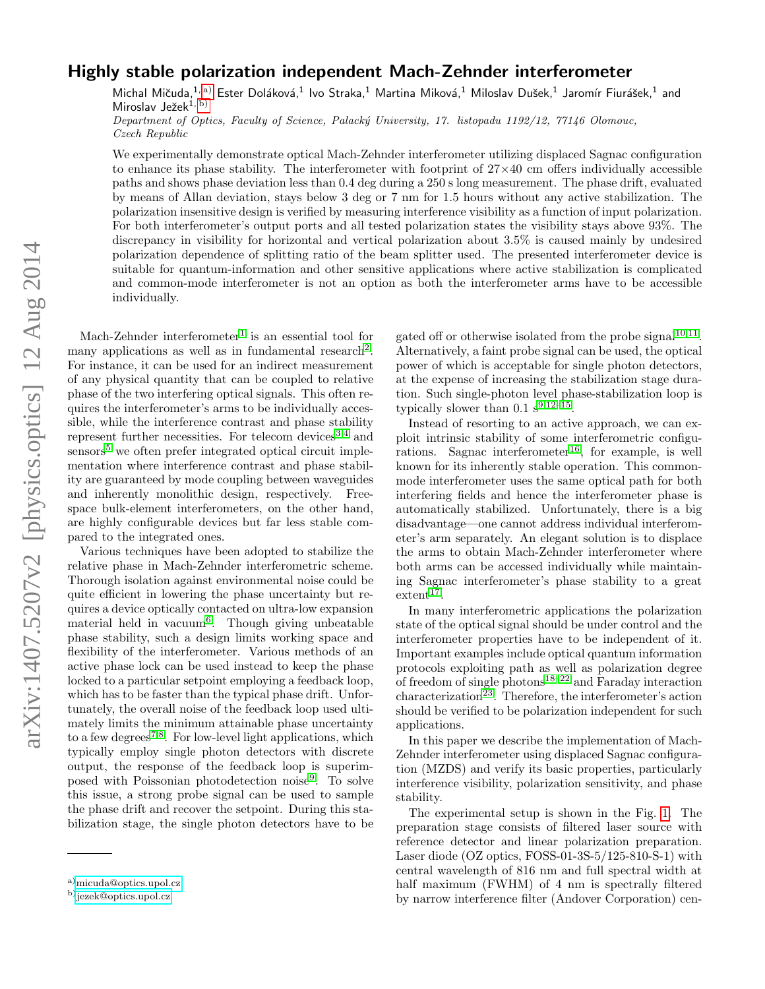## Highly stable polarization independent Mach-Zehnder interferometer

Michal Mičuda, $^{1,\,\mathrm{a)}}$  $^{1,\,\mathrm{a)}}$  $^{1,\,\mathrm{a)}}$  Ester Doláková, $^{1}$  Ivo Straka, $^{1}$  Martina Miková, $^{1}$  Miloslav Dušek, $^{1}$  Jaromír Fiurášek, $^{1}$  and Miroslav Ježek $^{1, b)}$  $^{1, b)}$  $^{1, b)}$ 

Department of Optics, Faculty of Science, Palacký University, 17. listopadu 1192/12, 77146 Olomouc, Czech Republic

We experimentally demonstrate optical Mach-Zehnder interferometer utilizing displaced Sagnac configuration to enhance its phase stability. The interferometer with footprint of  $27\times40$  cm offers individually accessible paths and shows phase deviation less than 0.4 deg during a 250 s long measurement. The phase drift, evaluated by means of Allan deviation, stays below 3 deg or 7 nm for 1.5 hours without any active stabilization. The polarization insensitive design is verified by measuring interference visibility as a function of input polarization. For both interferometer's output ports and all tested polarization states the visibility stays above 93%. The discrepancy in visibility for horizontal and vertical polarization about 3.5% is caused mainly by undesired polarization dependence of splitting ratio of the beam splitter used. The presented interferometer device is suitable for quantum-information and other sensitive applications where active stabilization is complicated and common-mode interferometer is not an option as both the interferometer arms have to be accessible individually.

Mach-Zehnder interferometer<sup>[1](#page-3-0)</sup> is an essential tool for many applications as well as in fundamental research<sup>[2](#page-3-1)</sup>. For instance, it can be used for an indirect measurement of any physical quantity that can be coupled to relative phase of the two interfering optical signals. This often requires the interferometer's arms to be individually accessible, while the interference contrast and phase stability represent further necessities. For telecom devices  $3,4$  $3,4$  and  $sensors<sup>5</sup>$  $sensors<sup>5</sup>$  $sensors<sup>5</sup>$  we often prefer integrated optical circuit implementation where interference contrast and phase stability are guaranteed by mode coupling between waveguides and inherently monolithic design, respectively. Freespace bulk-element interferometers, on the other hand, are highly configurable devices but far less stable compared to the integrated ones.

Various techniques have been adopted to stabilize the relative phase in Mach-Zehnder interferometric scheme. Thorough isolation against environmental noise could be quite efficient in lowering the phase uncertainty but requires a device optically contacted on ultra-low expansion material held in vacuum<sup>[6](#page-3-5)</sup>. Though giving unbeatable phase stability, such a design limits working space and flexibility of the interferometer. Various methods of an active phase lock can be used instead to keep the phase locked to a particular setpoint employing a feedback loop, which has to be faster than the typical phase drift. Unfortunately, the overall noise of the feedback loop used ultimately limits the minimum attainable phase uncertainty to a few degrees<sup>[7,](#page-3-6)[8](#page-3-7)</sup>. For low-level light applications, which typically employ single photon detectors with discrete output, the response of the feedback loop is superim-posed with Poissonian photodetection noise<sup>[9](#page-3-8)</sup>. To solve this issue, a strong probe signal can be used to sample the phase drift and recover the setpoint. During this stabilization stage, the single photon detectors have to be

gated off or otherwise isolated from the probe signal<sup>[10,](#page-3-9)[11](#page-3-10)</sup>. Alternatively, a faint probe signal can be used, the optical power of which is acceptable for single photon detectors, at the expense of increasing the stabilization stage duration. Such single-photon level phase-stabilization loop is typically slower than  $0.1 \text{ s}^{9,12-15}$  $0.1 \text{ s}^{9,12-15}$  $0.1 \text{ s}^{9,12-15}$  $0.1 \text{ s}^{9,12-15}$ .

Instead of resorting to an active approach, we can exploit intrinsic stability of some interferometric configu-rations. Sagnac interferometer<sup>[16](#page-3-13)</sup>, for example, is well known for its inherently stable operation. This commonmode interferometer uses the same optical path for both interfering fields and hence the interferometer phase is automatically stabilized. Unfortunately, there is a big disadvantage—one cannot address individual interferometer's arm separately. An elegant solution is to displace the arms to obtain Mach-Zehnder interferometer where both arms can be accessed individually while maintaining Sagnac interferometer's phase stability to a great  $extent^{17}$  $extent^{17}$  $extent^{17}$ .

In many interferometric applications the polarization state of the optical signal should be under control and the interferometer properties have to be independent of it. Important examples include optical quantum information protocols exploiting path as well as polarization degree of freedom of single photons<sup>[18](#page-3-15)[–22](#page-3-16)</sup> and Faraday interaction  $\rm characterization^{23}$  $\rm characterization^{23}$  $\rm characterization^{23}$ . Therefore, the interferometer's action should be verified to be polarization independent for such applications.

In this paper we describe the implementation of Mach-Zehnder interferometer using displaced Sagnac configuration (MZDS) and verify its basic properties, particularly interference visibility, polarization sensitivity, and phase stability.

The experimental setup is shown in the Fig. [1.](#page-1-0) The preparation stage consists of filtered laser source with reference detector and linear polarization preparation. Laser diode (OZ optics, FOSS-01-3S-5/125-810-S-1) with central wavelength of 816 nm and full spectral width at half maximum (FWHM) of 4 nm is spectrally filtered by narrow interference filter (Andover Corporation) cen-

<span id="page-0-0"></span>a)[micuda@optics.upol.cz](mailto:micuda@optics.upol.cz)

<span id="page-0-1"></span>b) [jezek@optics.upol.cz](mailto:jezek@optics.upol.cz)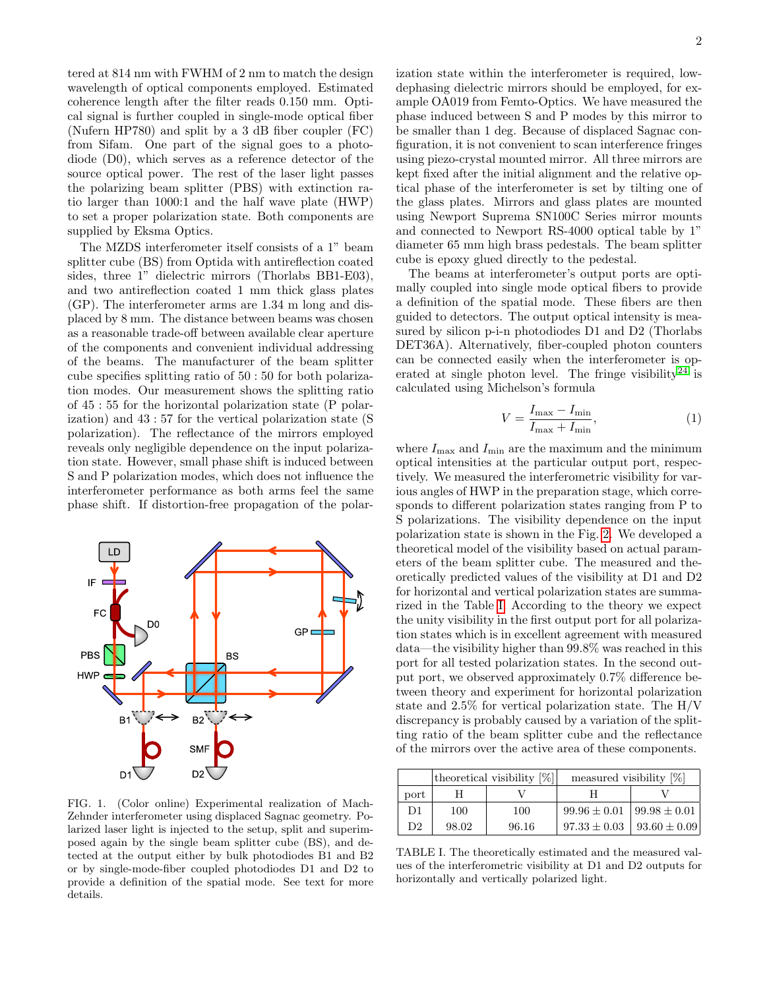tered at 814 nm with FWHM of 2 nm to match the design wavelength of optical components employed. Estimated coherence length after the filter reads 0.150 mm. Optical signal is further coupled in single-mode optical fiber (Nufern HP780) and split by a 3 dB fiber coupler (FC) from Sifam. One part of the signal goes to a photodiode (D0), which serves as a reference detector of the source optical power. The rest of the laser light passes the polarizing beam splitter (PBS) with extinction ratio larger than 1000:1 and the half wave plate (HWP) to set a proper polarization state. Both components are supplied by Eksma Optics.

The MZDS interferometer itself consists of a 1" beam splitter cube (BS) from Optida with antireflection coated sides, three 1" dielectric mirrors (Thorlabs BB1-E03), and two antireflection coated 1 mm thick glass plates (GP). The interferometer arms are 1.34 m long and displaced by 8 mm. The distance between beams was chosen as a reasonable trade-off between available clear aperture of the components and convenient individual addressing of the beams. The manufacturer of the beam splitter cube specifies splitting ratio of 50 : 50 for both polarization modes. Our measurement shows the splitting ratio of 45 : 55 for the horizontal polarization state (P polarization) and 43 : 57 for the vertical polarization state (S polarization). The reflectance of the mirrors employed reveals only negligible dependence on the input polarization state. However, small phase shift is induced between S and P polarization modes, which does not influence the interferometer performance as both arms feel the same phase shift. If distortion-free propagation of the polar-



<span id="page-1-0"></span>FIG. 1. (Color online) Experimental realization of Mach-Zehnder interferometer using displaced Sagnac geometry. Polarized laser light is injected to the setup, split and superimposed again by the single beam splitter cube (BS), and detected at the output either by bulk photodiodes B1 and B2 or by single-mode-fiber coupled photodiodes D1 and D2 to provide a definition of the spatial mode. See text for more details.

ization state within the interferometer is required, lowdephasing dielectric mirrors should be employed, for example OA019 from Femto-Optics. We have measured the phase induced between S and P modes by this mirror to be smaller than 1 deg. Because of displaced Sagnac configuration, it is not convenient to scan interference fringes using piezo-crystal mounted mirror. All three mirrors are kept fixed after the initial alignment and the relative optical phase of the interferometer is set by tilting one of the glass plates. Mirrors and glass plates are mounted using Newport Suprema SN100C Series mirror mounts and connected to Newport RS-4000 optical table by 1" diameter 65 mm high brass pedestals. The beam splitter cube is epoxy glued directly to the pedestal.

The beams at interferometer's output ports are optimally coupled into single mode optical fibers to provide a definition of the spatial mode. These fibers are then guided to detectors. The output optical intensity is measured by silicon p-i-n photodiodes D1 and D2 (Thorlabs DET36A). Alternatively, fiber-coupled photon counters can be connected easily when the interferometer is op-erated at single photon level. The fringe visibility<sup>[24](#page-3-18)</sup> is calculated using Michelson's formula

$$
V = \frac{I_{\text{max}} - I_{\text{min}}}{I_{\text{max}} + I_{\text{min}}},\tag{1}
$$

where  $I_{\max}$  and  $I_{\min}$  are the maximum and the minimum optical intensities at the particular output port, respectively. We measured the interferometric visibility for various angles of HWP in the preparation stage, which corresponds to different polarization states ranging from P to S polarizations. The visibility dependence on the input polarization state is shown in the Fig. [2.](#page-2-0) We developed a theoretical model of the visibility based on actual parameters of the beam splitter cube. The measured and theoretically predicted values of the visibility at D1 and D2 for horizontal and vertical polarization states are summarized in the Table [I.](#page-1-1) According to the theory we expect the unity visibility in the first output port for all polarization states which is in excellent agreement with measured data—the visibility higher than 99.8% was reached in this port for all tested polarization states. In the second output port, we observed approximately 0.7% difference between theory and experiment for horizontal polarization state and 2.5% for vertical polarization state. The H/V discrepancy is probably caused by a variation of the splitting ratio of the beam splitter cube and the reflectance of the mirrors over the active area of these components.

|      | theoretical visibility $[\%]$ |       | measured visibility $[\%]$          |                   |
|------|-------------------------------|-------|-------------------------------------|-------------------|
| port |                               |       |                                     |                   |
| D1   | 100                           | 100   | $99.96 \pm 0.01$                    | $199.98 \pm 0.01$ |
| D2   | 98.02                         | 96.16 | $97.33 \pm 0.03$   $93.60 \pm 0.09$ |                   |

<span id="page-1-1"></span>TABLE I. The theoretically estimated and the measured values of the interferometric visibility at D1 and D2 outputs for horizontally and vertically polarized light.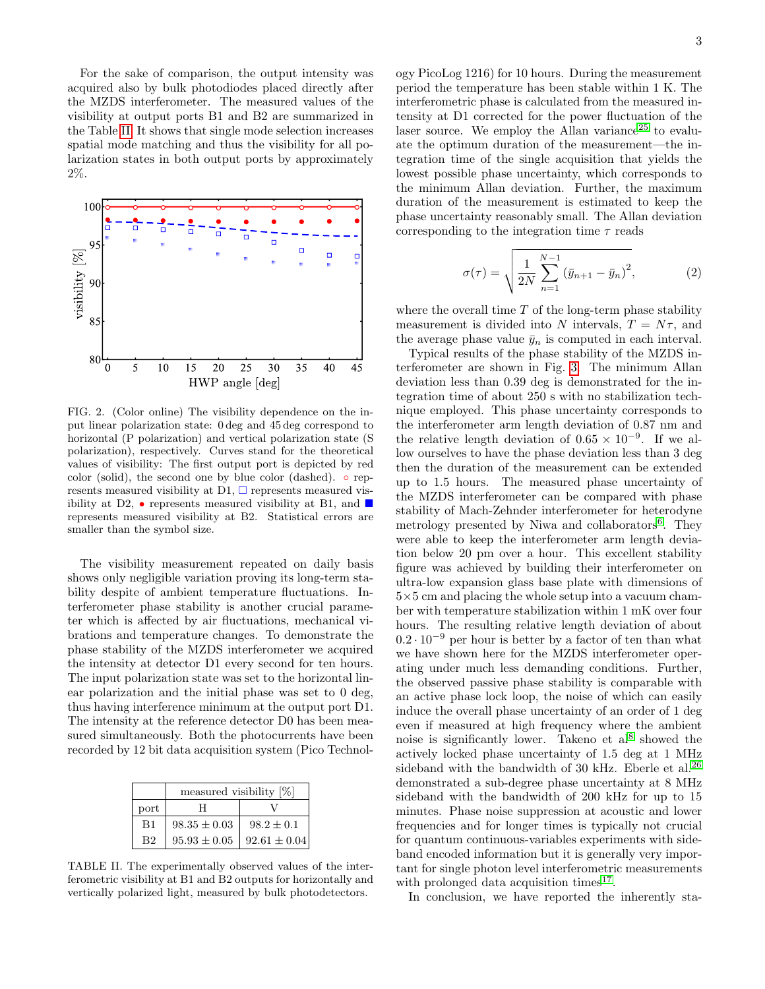For the sake of comparison, the output intensity was acquired also by bulk photodiodes placed directly after the MZDS interferometer. The measured values of the visibility at output ports B1 and B2 are summarized in the Table [II.](#page-2-1) It shows that single mode selection increases spatial mode matching and thus the visibility for all polarization states in both output ports by approximately 2%.



<span id="page-2-0"></span>FIG. 2. (Color online) The visibility dependence on the input linear polarization state: 0 deg and 45 deg correspond to horizontal (P polarization) and vertical polarization state (S polarization), respectively. Curves stand for the theoretical values of visibility: The first output port is depicted by red color (solid), the second one by blue color (dashed).  $\circ$  represents measured visibility at D1,  $\square$  represents measured visibility at D2,  $\bullet$  represents measured visibility at B1, and  $\blacksquare$ represents measured visibility at B2. Statistical errors are smaller than the symbol size.

The visibility measurement repeated on daily basis shows only negligible variation proving its long-term stability despite of ambient temperature fluctuations. Interferometer phase stability is another crucial parameter which is affected by air fluctuations, mechanical vibrations and temperature changes. To demonstrate the phase stability of the MZDS interferometer we acquired the intensity at detector D1 every second for ten hours. The input polarization state was set to the horizontal linear polarization and the initial phase was set to 0 deg, thus having interference minimum at the output port D1. The intensity at the reference detector D0 has been measured simultaneously. Both the photocurrents have been recorded by 12 bit data acquisition system (Pico Technol-

|      | measured visibility $[\%]$ |                  |  |
|------|----------------------------|------------------|--|
| port | н                          |                  |  |
| B1   | $98.35 \pm 0.03$           | $98.2 \pm 0.1$   |  |
| R2   | $95.93 \pm 0.05$           | $92.61 \pm 0.04$ |  |

<span id="page-2-1"></span>TABLE II. The experimentally observed values of the interferometric visibility at B1 and B2 outputs for horizontally and vertically polarized light, measured by bulk photodetectors.

ogy PicoLog 1216) for 10 hours. During the measurement period the temperature has been stable within 1 K. The interferometric phase is calculated from the measured intensity at D1 corrected for the power fluctuation of the laser source. We employ the Allan variance<sup>[25](#page-3-19)</sup> to evaluate the optimum duration of the measurement—the integration time of the single acquisition that yields the lowest possible phase uncertainty, which corresponds to the minimum Allan deviation. Further, the maximum duration of the measurement is estimated to keep the phase uncertainty reasonably small. The Allan deviation corresponding to the integration time  $\tau$  reads

$$
\sigma(\tau) = \sqrt{\frac{1}{2N} \sum_{n=1}^{N-1} (\bar{y}_{n+1} - \bar{y}_n)^2},
$$
\n(2)

where the overall time  $T$  of the long-term phase stability measurement is divided into N intervals,  $T = N\tau$ , and the average phase value  $\bar{y}_n$  is computed in each interval.

Typical results of the phase stability of the MZDS interferometer are shown in Fig. [3.](#page-3-20) The minimum Allan deviation less than 0.39 deg is demonstrated for the integration time of about 250 s with no stabilization technique employed. This phase uncertainty corresponds to the interferometer arm length deviation of 0.87 nm and the relative length deviation of  $0.65 \times 10^{-9}$ . If we allow ourselves to have the phase deviation less than 3 deg then the duration of the measurement can be extended up to 1.5 hours. The measured phase uncertainty of the MZDS interferometer can be compared with phase stability of Mach-Zehnder interferometer for heterodyne metrology presented by Niwa and collaborators<sup>[6](#page-3-5)</sup>. They were able to keep the interferometer arm length deviation below 20 pm over a hour. This excellent stability figure was achieved by building their interferometer on ultra-low expansion glass base plate with dimensions of  $5\times5$  cm and placing the whole setup into a vacuum chamber with temperature stabilization within 1 mK over four hours. The resulting relative length deviation of about  $0.2 \cdot 10^{-9}$  per hour is better by a factor of ten than what we have shown here for the MZDS interferometer operating under much less demanding conditions. Further, the observed passive phase stability is comparable with an active phase lock loop, the noise of which can easily induce the overall phase uncertainty of an order of 1 deg even if measured at high frequency where the ambient noise is significantly lower. Takeno et al<sup>[8](#page-3-7)</sup> showed the actively locked phase uncertainty of 1.5 deg at 1 MHz sideband with the bandwidth of 30 kHz. Eberle et al.<sup>[26](#page-3-21)</sup> demonstrated a sub-degree phase uncertainty at 8 MHz sideband with the bandwidth of 200 kHz for up to 15 minutes. Phase noise suppression at acoustic and lower frequencies and for longer times is typically not crucial for quantum continuous-variables experiments with sideband encoded information but it is generally very important for single photon level interferometric measurements with prolonged data acquisition times<sup>[17](#page-3-14)</sup>.

In conclusion, we have reported the inherently sta-